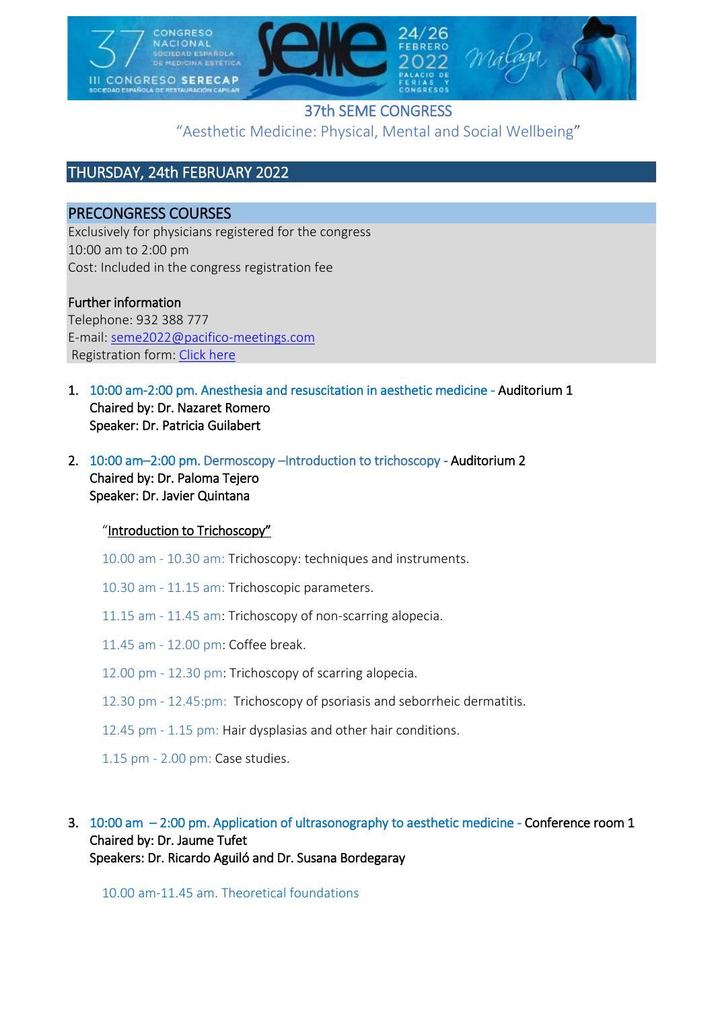

# 37th SEME CONGRESS "Aesthetic Medicine: Physical, Mental and Social Wellbeing"

# THURSDAY, 24th FEBRUARY 2022

# PRECONGRESS COURSES

Exclusively for physicians registered for the congress 10:00 am to 2:00 pm Cost: Included in the congress registration fee

### Further information

Telephone: 932 388 777 E-mail: [seme2022@pacifico-meetings.com](mailto:seme2022@pacifico-meetings.com) Registration form: [Click](https://intranet.pacifico-meetings.com/GescoWeb/?cfg=3313) here

- 1. 10:00 am-2:00 pm. Anesthesia and resuscitation in aesthetic medicine Auditorium 1 Chaired by: Dr. Nazaret Romero Speaker: Dr. Patricia Guilabert
- 2. 10:00 am–2:00 pm. Dermoscopy –Introduction to trichoscopy Auditorium 2 Chaired by: Dr. Paloma Tejero Speaker: Dr. Javier Quintana

### "Introduction to Trichoscopy"

- 10.00 am 10.30 am: Trichoscopy: techniques and instruments.
- 10.30 am 11.15 am: Trichoscopic parameters.
- 11.15 am 11.45 am: Trichoscopy of non-scarring alopecia.
- 11.45 am 12.00 pm: Coffee break.
- 12.00 pm 12.30 pm: Trichoscopy of scarring alopecia.
- 12.30 pm 12.45:pm: Trichoscopy of psoriasis and seborrheic dermatitis.
- 12.45 pm 1.15 pm: Hair dysplasias and other hair conditions.
- 1.15 pm 2.00 pm: Case studies.

### 3. 10:00 am – 2:00 pm. Application of ultrasonography to aesthetic medicine - Conference room 1 Chaired by: Dr. Jaume Tufet Speakers: Dr. Ricardo Aguiló and Dr. Susana Bordegaray

10.00 am-11.45 am. Theoretical foundations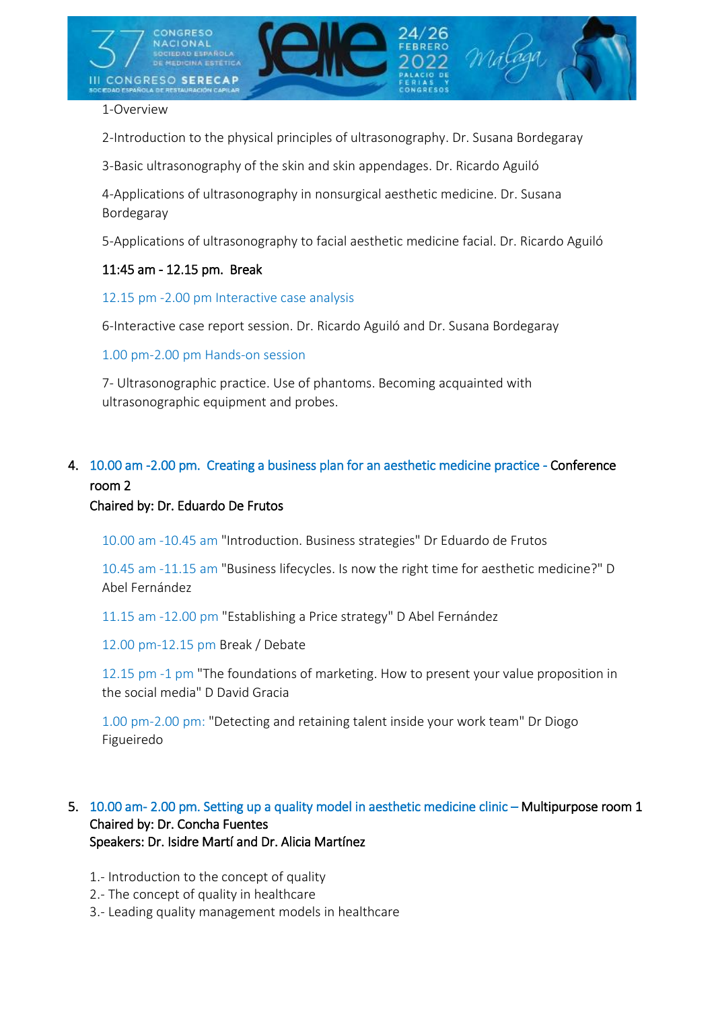

#### 1-Overview

2-Introduction to the physical principles of ultrasonography. Dr. Susana Bordegaray

3-Basic ultrasonography of the skin and skin appendages. Dr. Ricardo Aguiló

4-Applications of ultrasonography in nonsurgical aesthetic medicine. Dr. Susana Bordegaray

5-Applications of ultrasonography to facial aesthetic medicine facial. Dr. Ricardo Aguiló

#### 11:45 am - 12.15 pm. Break

12.15 pm -2.00 pm Interactive case analysis

6-Interactive case report session. Dr. Ricardo Aguiló and Dr. Susana Bordegaray

1.00 pm-2.00 pm Hands-on session

7- Ultrasonographic practice. Use of phantoms. Becoming acquainted with ultrasonographic equipment and probes.

# 4. 10.00 am -2.00 pm. Creating a business plan for an aesthetic medicine practice - Conference room 2

#### Chaired by: Dr. Eduardo De Frutos

10.00 am -10.45 am "Introduction. Business strategies" Dr Eduardo de Frutos

10.45 am -11.15 am "Business lifecycles. Is now the right time for aesthetic medicine?" D Abel Fernández

11.15 am -12.00 pm "Establishing a Price strategy" D Abel Fernández

12.00 pm-12.15 pm Break / Debate

12.15 pm -1 pm "The foundations of marketing. How to present your value proposition in the social media" D David Gracia

1.00 pm-2.00 pm: "Detecting and retaining talent inside your work team" Dr Diogo Figueiredo

#### 5. 10.00 am- 2.00 pm. Setting up a quality model in aesthetic medicine clinic – Multipurpose room 1 Chaired by: Dr. Concha Fuentes Speakers: Dr. Isidre Martí and Dr. Alicia Martínez

- 1.- Introduction to the concept of quality
- 2.- The concept of quality in healthcare
- 3.- Leading quality management models in healthcare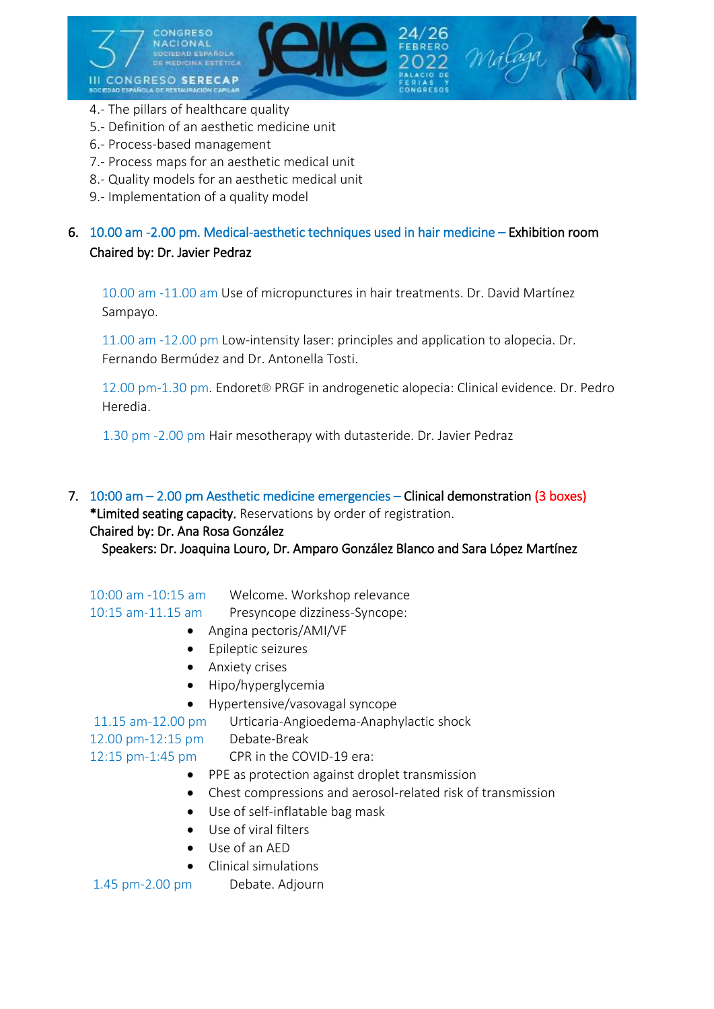

- 4.- The pillars of healthcare quality
- 5.- Definition of an aesthetic medicine unit
- 6.- Process-based management
- 7.- Process maps for an aesthetic medical unit
- 8.- Quality models for an aesthetic medical unit
- 9.- Implementation of a quality model

# 6. 10.00 am -2.00 pm. Medical-aesthetic techniques used in hair medicine – Exhibition room Chaired by: Dr. Javier Pedraz

10.00 am -11.00 am Use of micropunctures in hair treatments. Dr. David Martínez Sampayo.

11.00 am -12.00 pm Low-intensity laser: principles and application to alopecia. Dr. Fernando Bermúdez and Dr. Antonella Tosti.

12.00 pm-1.30 pm. Endoret® PRGF in androgenetic alopecia: Clinical evidence. Dr. Pedro Heredia.

1.30 pm -2.00 pm Hair mesotherapy with dutasteride. Dr. Javier Pedraz

7. 10:00 am – 2.00 pm Aesthetic medicine emergencies – Clinical demonstration (3 boxes) \*Limited seating capacity. Reservations by order of registration.

### Chaired by: Dr. Ana Rosa González

Speakers: Dr. Joaquina Louro, Dr. Amparo González Blanco and Sara López Martínez

10:00 am -10:15 am Welcome. Workshop relevance 10:15 am-11.15 am Presyncope dizziness-Syncope:

- Angina pectoris/AMI/VF
- Epileptic seizures
- Anxiety crises
- Hipo/hyperglycemia
- Hypertensive/vasovagal syncope
- 11.15 am-12.00 pm Urticaria-Angioedema-Anaphylactic shock

12.00 pm-12:15 pm Debate-Break

12:15 pm-1:45 pm CPR in the COVID-19 era:

- PPE as protection against droplet transmission
- Chest compressions and aerosol-related risk of transmission
- Use of self-inflatable bag mask
- Use of viral filters
- Use of an AED
- Clinical simulations

1.45 pm-2.00 pm Debate. Adjourn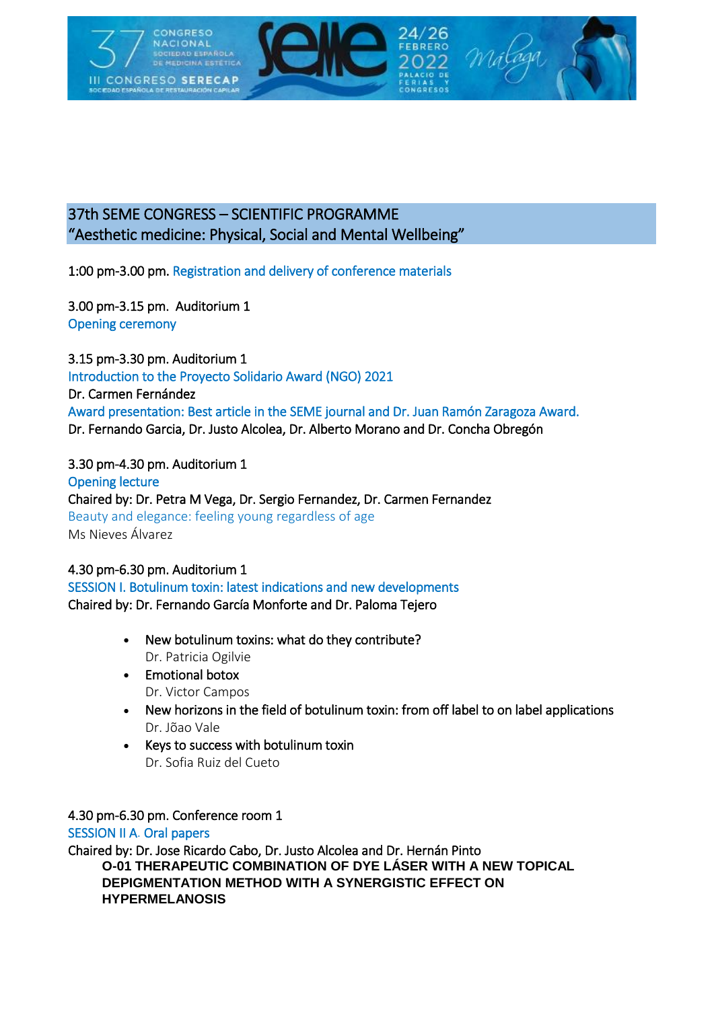

# 37th SEME CONGRESS – SCIENTIFIC PROGRAMME "Aesthetic medicine: Physical, Social and Mental Wellbeing"

1:00 pm-3.00 pm. Registration and delivery of conference materials

3.00 pm-3.15 pm. Auditorium 1 Opening ceremony

3.15 pm-3.30 pm. Auditorium 1 Introduction to the Proyecto Solidario Award (NGO) 2021 Dr. Carmen Fernández Award presentation: Best article in the SEME journal and Dr. Juan Ramón Zaragoza Award. Dr. Fernando Garcia, Dr. Justo Alcolea, Dr. Alberto Morano and Dr. Concha Obregón

### 3.30 pm-4.30 pm. Auditorium 1

Opening lecture Chaired by: Dr. Petra M Vega, Dr. Sergio Fernandez, Dr. Carmen Fernandez Beauty and elegance: feeling young regardless of age Ms Nieves Álvarez

# 4.30 pm-6.30 pm. Auditorium 1 SESSION I. Botulinum toxin: latest indications and new developments

Chaired by: Dr. Fernando García Monforte and Dr. Paloma Tejero

- New botulinum toxins: what do they contribute? Dr. Patricia Ogilvie
- Emotional botox Dr. Victor Campos
- New horizons in the field of botulinum toxin: from off label to on label applications Dr. Jõao Vale
- Keys to success with botulinum toxin Dr. Sofia Ruiz del Cueto

#### 4.30 pm-6.30 pm. Conference room 1

SESSION II A. Oral papers

Chaired by: Dr. Jose Ricardo Cabo, Dr. Justo Alcolea and Dr. Hernán Pinto **O-01 THERAPEUTIC COMBINATION OF DYE LÁSER WITH A NEW TOPICAL DEPIGMENTATION METHOD WITH A SYNERGISTIC EFFECT ON HYPERMELANOSIS**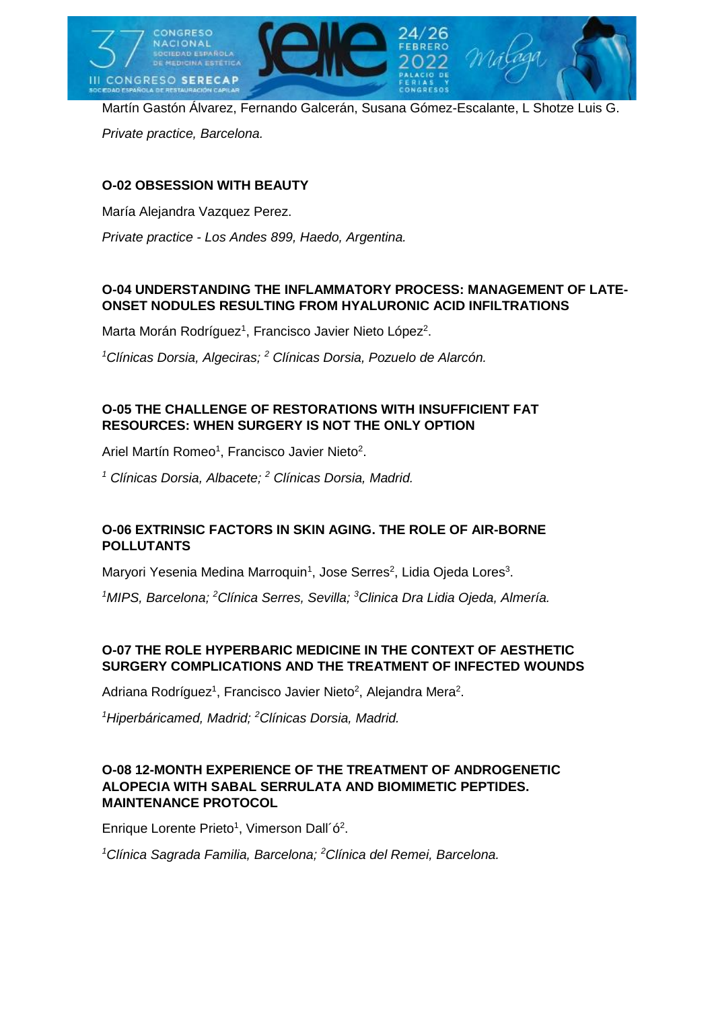

Martín Gastón Álvarez, Fernando Galcerán, Susana Gómez-Escalante, L Shotze Luis G. *Private practice, Barcelona.*

# **O-02 OBSESSION WITH BEAUTY**

María Alejandra Vazquez Perez.

*Private practice - Los Andes 899, Haedo, Argentina.*

## **O-04 UNDERSTANDING THE INFLAMMATORY PROCESS: MANAGEMENT OF LATE-ONSET NODULES RESULTING FROM HYALURONIC ACID INFILTRATIONS**

Marta Morán Rodríguez<sup>1</sup>, Francisco Javier Nieto López<sup>2</sup>.

*<sup>1</sup>Clínicas Dorsia, Algeciras; <sup>2</sup> Clínicas Dorsia, Pozuelo de Alarcón.*

### **O-05 THE CHALLENGE OF RESTORATIONS WITH INSUFFICIENT FAT RESOURCES: WHEN SURGERY IS NOT THE ONLY OPTION**

Ariel Martín Romeo<sup>1</sup>, Francisco Javier Nieto<sup>2</sup>.

*<sup>1</sup> Clínicas Dorsia, Albacete; <sup>2</sup> Clínicas Dorsia, Madrid.*

### **O-06 EXTRINSIC FACTORS IN SKIN AGING. THE ROLE OF AIR-BORNE POLLUTANTS**

Maryori Yesenia Medina Marroquin<sup>1</sup>, Jose Serres<sup>2</sup>, Lidia Ojeda Lores<sup>3</sup>.

*<sup>1</sup>MIPS, Barcelona; <sup>2</sup>Clínica Serres, Sevilla; <sup>3</sup>Clinica Dra Lidia Ojeda, Almería.*

### **O-07 THE ROLE HYPERBARIC MEDICINE IN THE CONTEXT OF AESTHETIC SURGERY COMPLICATIONS AND THE TREATMENT OF INFECTED WOUNDS**

Adriana Rodríguez<sup>1</sup>, Francisco Javier Nieto<sup>2</sup>, Alejandra Mera<sup>2</sup>.

*<sup>1</sup>Hiperbáricamed, Madrid; <sup>2</sup>Clínicas Dorsia, Madrid.*

### **O-08 12-MONTH EXPERIENCE OF THE TREATMENT OF ANDROGENETIC ALOPECIA WITH SABAL SERRULATA AND BIOMIMETIC PEPTIDES. MAINTENANCE PROTOCOL**

Enrique Lorente Prieto<sup>1</sup>, Vimerson Dall'ó<sup>2</sup>.

*<sup>1</sup>Clínica Sagrada Familia, Barcelona; <sup>2</sup>Clínica del Remei, Barcelona.*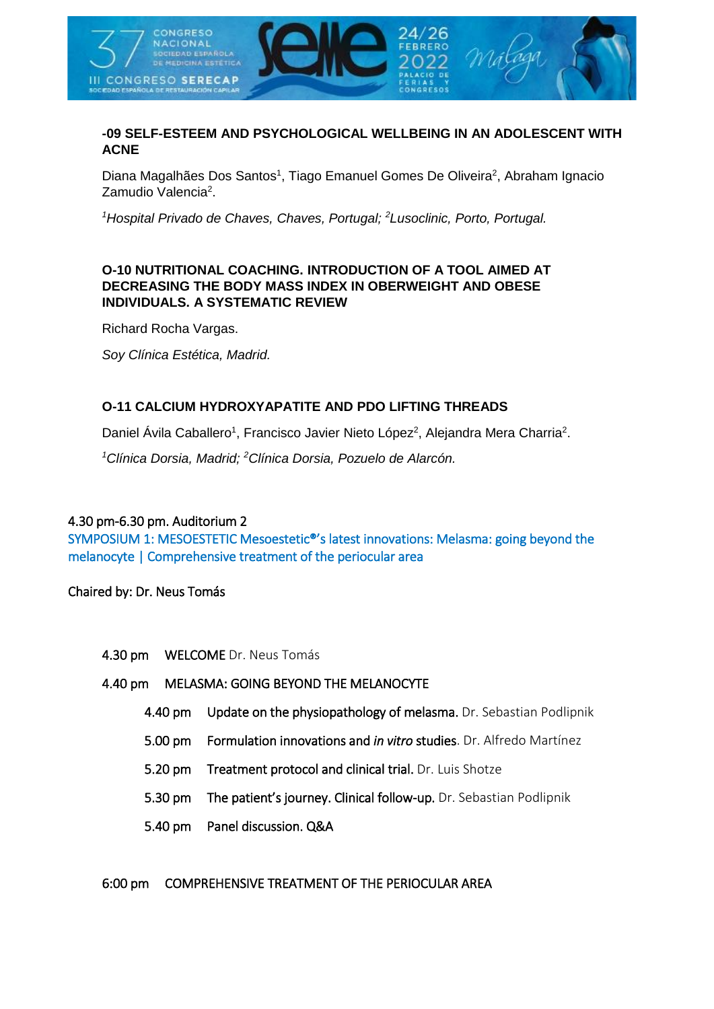

### **-09 SELF-ESTEEM AND PSYCHOLOGICAL WELLBEING IN AN ADOLESCENT WITH ACNE**

Diana Magalhães Dos Santos<sup>1</sup>, Tiago Emanuel Gomes De Oliveira<sup>2</sup>, Abraham Ignacio Zamudio Valencia<sup>2</sup>.

*<sup>1</sup>Hospital Privado de Chaves, Chaves, Portugal; <sup>2</sup>Lusoclinic, Porto, Portugal.*

### **O-10 NUTRITIONAL COACHING. INTRODUCTION OF A TOOL AIMED AT DECREASING THE BODY MASS INDEX IN OBERWEIGHT AND OBESE INDIVIDUALS. A SYSTEMATIC REVIEW**

Richard Rocha Vargas.

*Soy Clínica Estética, Madrid.*

#### **O-11 CALCIUM HYDROXYAPATITE AND PDO LIFTING THREADS**

Daniel Ávila Caballero<sup>1</sup>, Francisco Javier Nieto López<sup>2</sup>, Alejandra Mera Charria<sup>2</sup>.

*<sup>1</sup>Clínica Dorsia, Madrid; <sup>2</sup>Clínica Dorsia, Pozuelo de Alarcón.*

#### 4.30 pm-6.30 pm. Auditorium 2

SYMPOSIUM 1: MESOESTETIC Mesoestetic®'s latest innovations: Melasma: going beyond the melanocyte | Comprehensive treatment of the periocular area

Chaired by: Dr. Neus Tomás

4.30 pm WELCOME Dr. Neus Tomás

#### 4.40 pm MELASMA: GOING BEYOND THE MELANOCYTE

- 4.40 pm Update on the physiopathology of melasma. Dr. Sebastian Podlipnik
- 5.00 pm Formulation innovations and *in vitro* studies. Dr. Alfredo Martínez
- 5.20 pm Treatment protocol and clinical trial. Dr. Luis Shotze
- 5.30 pm The patient's journey. Clinical follow-up. Dr. Sebastian Podlipnik
- 5.40 pm Panel discussion. Q&A

#### 6:00 pm COMPREHENSIVE TREATMENT OF THE PERIOCULAR AREA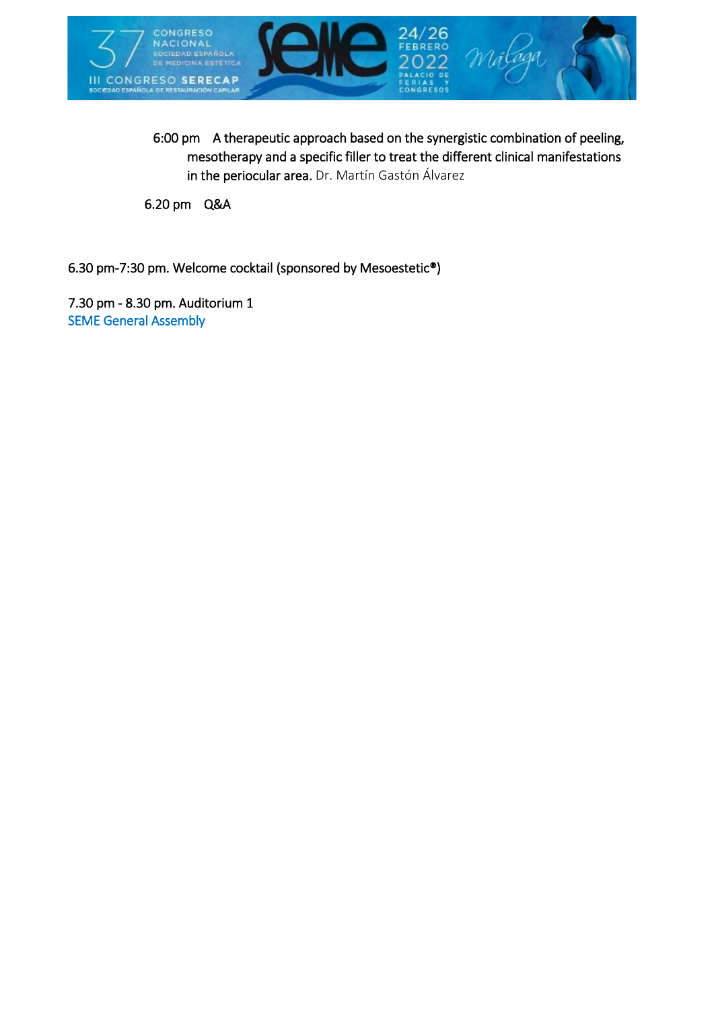

6:00 pm A therapeutic approach based on the synergistic combination of peeling, mesotherapy and a specific filler to treat the different clinical manifestations in the periocular area. Dr. Martín Gastón Álvarez

6.20 pm Q&A

6.30 pm-7:30 pm. Welcome cocktail (sponsored by Mesoestetic®)

7.30 pm - 8.30 pm. Auditorium 1 SEME General Assembly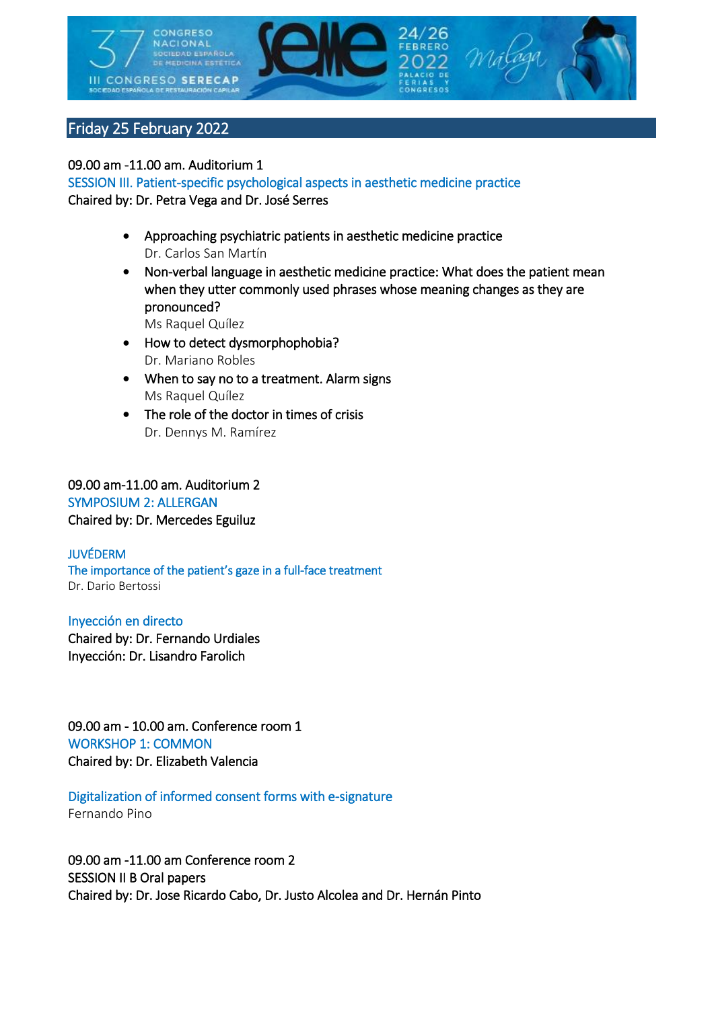

# Friday 25 February 2022

#### 09.00 am -11.00 am. Auditorium 1

SESSION III. Patient-specific psychological aspects in aesthetic medicine practice Chaired by: Dr. Petra Vega and Dr. José Serres

- Approaching psychiatric patients in aesthetic medicine practice Dr. Carlos San Martín
- Non-verbal language in aesthetic medicine practice: What does the patient mean when they utter commonly used phrases whose meaning changes as they are pronounced?

Ms Raquel Quílez

- How to detect dysmorphophobia? Dr. Mariano Robles
- When to say no to a treatment. Alarm signs Ms Raquel Quílez
- The role of the doctor in times of crisis Dr. Dennys M. Ramírez

### 09.00 am-11.00 am. Auditorium 2 SYMPOSIUM 2: ALLERGAN Chaired by: Dr. Mercedes Eguiluz

#### JUVÉDERM The importance of the patient's gaze in a full-face treatment Dr. Dario Bertossi

#### Inyección en directo

Chaired by: Dr. Fernando Urdiales Inyección: Dr. Lisandro Farolich

09.00 am - 10.00 am. Conference room 1 WORKSHOP 1: COMMON Chaired by: Dr. Elizabeth Valencia

#### Digitalization of informed consent forms with e-signature Fernando Pino

09.00 am -11.00 am Conference room 2 SESSION II B Oral papers Chaired by: Dr. Jose Ricardo Cabo, Dr. Justo Alcolea and Dr. Hernán Pinto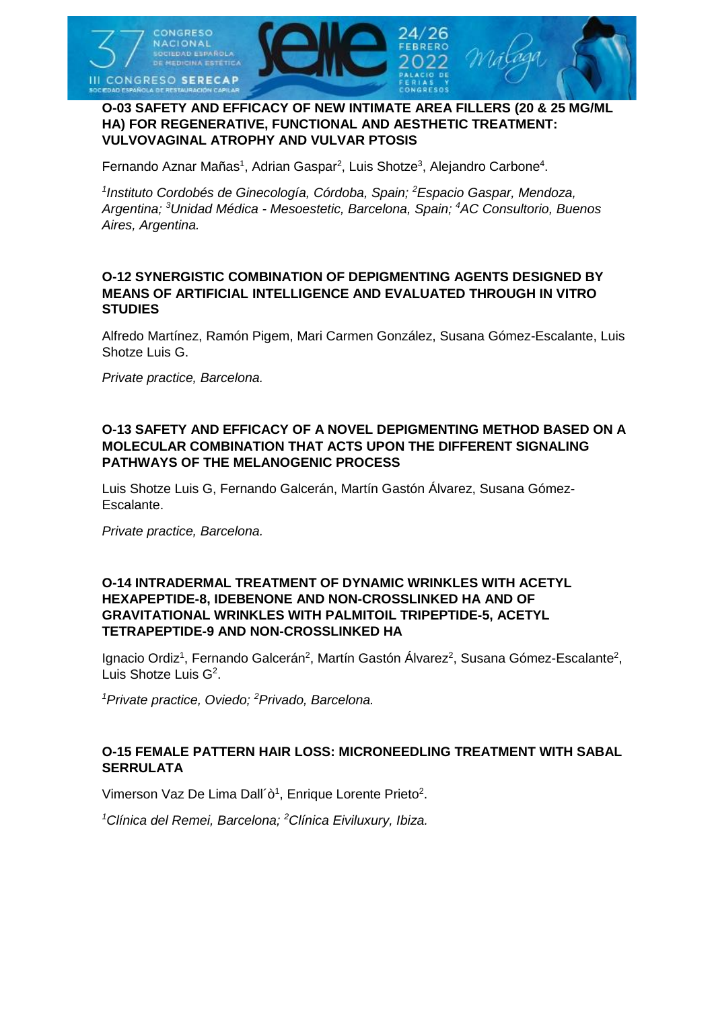

#### **O-03 SAFETY AND EFFICACY OF NEW INTIMATE AREA FILLERS (20 & 25 MG/ML HA) FOR REGENERATIVE, FUNCTIONAL AND AESTHETIC TREATMENT: VULVOVAGINAL ATROPHY AND VULVAR PTOSIS**

Fernando Aznar Mañas<sup>1</sup>, Adrian Gaspar<sup>2</sup>, Luis Shotze<sup>3</sup>, Alejandro Carbone<sup>4</sup>.

*1 Instituto Cordobés de Ginecología, Córdoba, Spain; <sup>2</sup>Espacio Gaspar, Mendoza, Argentina; <sup>3</sup>Unidad Médica - Mesoestetic, Barcelona, Spain; <sup>4</sup>AC Consultorio, Buenos Aires, Argentina.*

#### **O-12 SYNERGISTIC COMBINATION OF DEPIGMENTING AGENTS DESIGNED BY MEANS OF ARTIFICIAL INTELLIGENCE AND EVALUATED THROUGH IN VITRO STUDIES**

Alfredo Martínez, Ramón Pigem, Mari Carmen González, Susana Gómez-Escalante, Luis Shotze Luis G.

*Private practice, Barcelona.*

#### **O-13 SAFETY AND EFFICACY OF A NOVEL DEPIGMENTING METHOD BASED ON A MOLECULAR COMBINATION THAT ACTS UPON THE DIFFERENT SIGNALING PATHWAYS OF THE MELANOGENIC PROCESS**

Luis Shotze Luis G, Fernando Galcerán, Martín Gastón Álvarez, Susana Gómez-Escalante.

*Private practice, Barcelona.*

#### **O-14 INTRADERMAL TREATMENT OF DYNAMIC WRINKLES WITH ACETYL HEXAPEPTIDE-8, IDEBENONE AND NON-CROSSLINKED HA AND OF GRAVITATIONAL WRINKLES WITH PALMITOIL TRIPEPTIDE-5, ACETYL TETRAPEPTIDE-9 AND NON-CROSSLINKED HA**

Ignacio Ordiz<sup>1</sup>, Fernando Galcerán<sup>2</sup>, Martín Gastón Álvarez<sup>2</sup>, Susana Gómez-Escalante<sup>2</sup>, Luis Shotze Luis G<sup>2</sup>.

*<sup>1</sup>Private practice, Oviedo; <sup>2</sup>Privado, Barcelona.*

#### **O-15 FEMALE PATTERN HAIR LOSS: MICRONEEDLING TREATMENT WITH SABAL SERRULATA**

Vimerson Vaz De Lima Dall'ò<sup>1</sup>, Enrique Lorente Prieto<sup>2</sup>.

*<sup>1</sup>Clínica del Remei, Barcelona; <sup>2</sup>Clínica Eiviluxury, Ibiza.*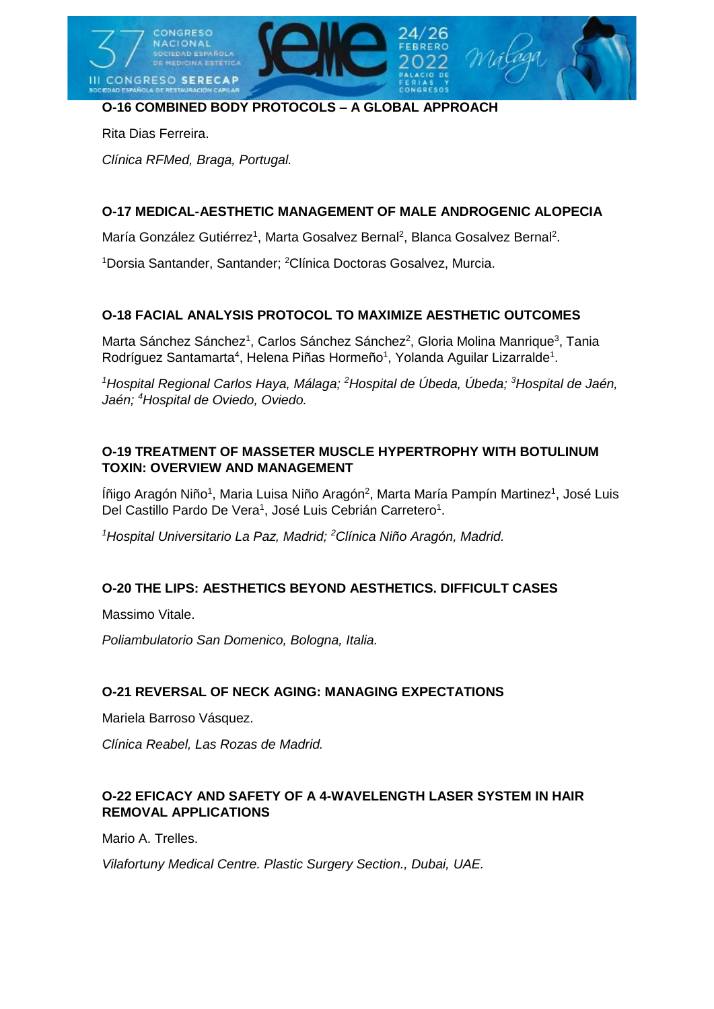

# **O-16 COMBINED BODY PROTOCOLS – A GLOBAL APPROACH**

Rita Dias Ferreira.

*Clínica RFMed, Braga, Portugal.*

### **O-17 MEDICAL-AESTHETIC MANAGEMENT OF MALE ANDROGENIC ALOPECIA**

María González Gutiérrez<sup>1</sup>, Marta Gosalvez Bernal<sup>2</sup>, Blanca Gosalvez Bernal<sup>2</sup>.

<sup>1</sup>Dorsia Santander, Santander; <sup>2</sup>Clínica Doctoras Gosalvez, Murcia.

### **O-18 FACIAL ANALYSIS PROTOCOL TO MAXIMIZE AESTHETIC OUTCOMES**

Marta Sánchez Sánchez<sup>1</sup>, Carlos Sánchez Sánchez<sup>2</sup>, Gloria Molina Manrique<sup>3</sup>, Tania Rodríguez Santamarta<sup>4</sup>, Helena Piñas Hormeño<sup>1</sup>, Yolanda Aguilar Lizarralde<sup>1</sup>.

*<sup>1</sup>Hospital Regional Carlos Haya, Málaga; <sup>2</sup>Hospital de Úbeda, Úbeda; <sup>3</sup>Hospital de Jaén, Jaén; <sup>4</sup>Hospital de Oviedo, Oviedo.*

### **O-19 TREATMENT OF MASSETER MUSCLE HYPERTROPHY WITH BOTULINUM TOXIN: OVERVIEW AND MANAGEMENT**

Íñigo Aragón Niño<sup>1</sup>, Maria Luisa Niño Aragón<sup>2</sup>, Marta María Pampín Martinez<sup>1</sup>, José Luis Del Castillo Pardo De Vera<sup>1</sup>, José Luis Cebrián Carretero<sup>1</sup>.

*<sup>1</sup>Hospital Universitario La Paz, Madrid; <sup>2</sup>Clínica Niño Aragón, Madrid.*

### **O-20 THE LIPS: AESTHETICS BEYOND AESTHETICS. DIFFICULT CASES**

Massimo Vitale.

*Poliambulatorio San Domenico, Bologna, Italia.*

### **O-21 REVERSAL OF NECK AGING: MANAGING EXPECTATIONS**

Mariela Barroso Vásquez.

*Clínica Reabel, Las Rozas de Madrid.*

### **O-22 EFICACY AND SAFETY OF A 4-WAVELENGTH LASER SYSTEM IN HAIR REMOVAL APPLICATIONS**

Mario A. Trelles.

*Vilafortuny Medical Centre. Plastic Surgery Section., Dubai, UAE.*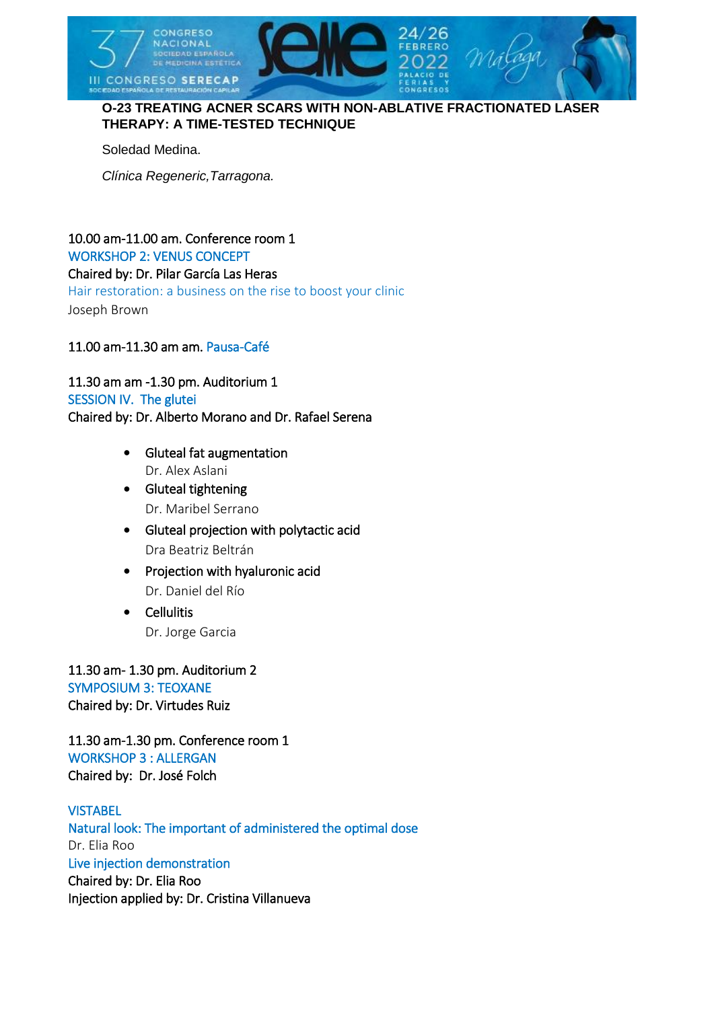

### **O-23 TREATING ACNER SCARS WITH NON-ABLATIVE FRACTIONATED LASER THERAPY: A TIME-TESTED TECHNIQUE**

Soledad Medina.

*Clínica Regeneric,Tarragona.*

# 10.00 am-11.00 am. Conference room 1 WORKSHOP 2: VENUS CONCEPT Chaired by: Dr. Pilar García Las Heras Hair restoration: a business on the rise to boost your clinic

Joseph Brown

### 11.00 am-11.30 am am. Pausa-Café

11.30 am am -1.30 pm. Auditorium 1 SESSION IV. The glutei Chaired by: Dr. Alberto Morano and Dr. Rafael Serena

- Gluteal fat augmentation Dr. Alex Aslani
- Gluteal tightening Dr. Maribel Serrano
- Gluteal projection with polytactic acid Dra Beatriz Beltrán
- Projection with hyaluronic acid Dr. Daniel del Río
- **•** Cellulitis Dr. Jorge Garcia

11.30 am- 1.30 pm. Auditorium 2 SYMPOSIUM 3: TEOXANE Chaired by: Dr. Virtudes Ruiz

11.30 am-1.30 pm. Conference room 1 WORKSHOP 3 : ALLERGAN Chaired by: Dr. José Folch

**VISTABEL** Natural look: The important of administered the optimal dose Dr. Elia Roo Live injection demonstration Chaired by: Dr. Elia Roo Injection applied by: Dr. Cristina Villanueva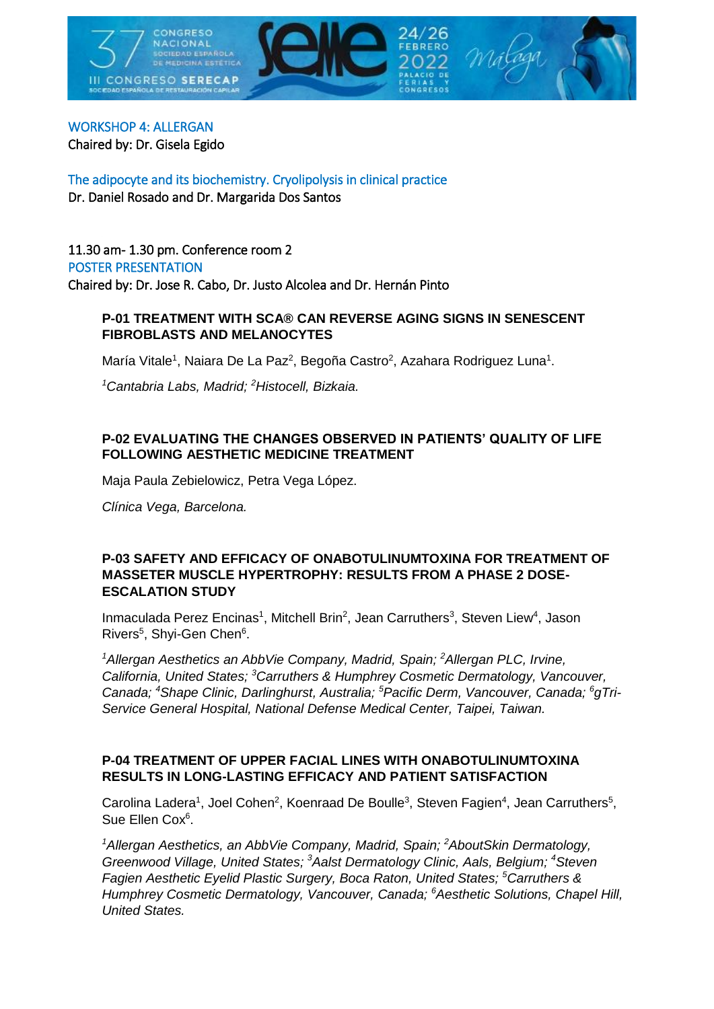

# WORKSHOP 4: ALLERGAN

Chaired by: Dr. Gisela Egido

The adipocyte and its biochemistry. Cryolipolysis in clinical practice Dr. Daniel Rosado and Dr. Margarida Dos Santos

11.30 am- 1.30 pm. Conference room 2 POSTER PRESENTATION Chaired by: Dr. Jose R. Cabo, Dr. Justo Alcolea and Dr. Hernán Pinto

### **P-01 TREATMENT WITH SCA® CAN REVERSE AGING SIGNS IN SENESCENT FIBROBLASTS AND MELANOCYTES**

María Vitale<sup>1</sup>, Naiara De La Paz<sup>2</sup>, Begoña Castro<sup>2</sup>, Azahara Rodriguez Luna<sup>1</sup>.

*<sup>1</sup>Cantabria Labs, Madrid; <sup>2</sup>Histocell, Bizkaia.*

### **P-02 EVALUATING THE CHANGES OBSERVED IN PATIENTS' QUALITY OF LIFE FOLLOWING AESTHETIC MEDICINE TREATMENT**

Maja Paula Zebielowicz, Petra Vega López.

*Clínica Vega, Barcelona.*

#### **P-03 SAFETY AND EFFICACY OF ONABOTULINUMTOXINA FOR TREATMENT OF MASSETER MUSCLE HYPERTROPHY: RESULTS FROM A PHASE 2 DOSE-ESCALATION STUDY**

Inmaculada Perez Encinas<sup>1</sup>, Mitchell Brin<sup>2</sup>, Jean Carruthers<sup>3</sup>, Steven Liew<sup>4</sup>, Jason Rivers<sup>5</sup>, Shyi-Gen Chen<sup>6</sup>.

*<sup>1</sup>Allergan Aesthetics an AbbVie Company, Madrid, Spain; <sup>2</sup>Allergan PLC, Irvine, California, United States; <sup>3</sup>Carruthers & Humphrey Cosmetic Dermatology, Vancouver, Canada; <sup>4</sup>Shape Clinic, Darlinghurst, Australia; <sup>5</sup>Pacific Derm, Vancouver, Canada; <sup>6</sup>gTri-Service General Hospital, National Defense Medical Center, Taipei, Taiwan.*

#### **P-04 TREATMENT OF UPPER FACIAL LINES WITH ONABOTULINUMTOXINA RESULTS IN LONG-LASTING EFFICACY AND PATIENT SATISFACTION**

Carolina Ladera<sup>1</sup>, Joel Cohen<sup>2</sup>, Koenraad De Boulle<sup>3</sup>, Steven Fagien<sup>4</sup>, Jean Carruthers<sup>5</sup>, Sue Ellen Cox<sup>6</sup>.

*<sup>1</sup>Allergan Aesthetics, an AbbVie Company, Madrid, Spain; <sup>2</sup>AboutSkin Dermatology, Greenwood Village, United States; <sup>3</sup>Aalst Dermatology Clinic, Aals, Belgium; <sup>4</sup>Steven Fagien Aesthetic Eyelid Plastic Surgery, Boca Raton, United States; <sup>5</sup>Carruthers & Humphrey Cosmetic Dermatology, Vancouver, Canada; <sup>6</sup>Aesthetic Solutions, Chapel Hill, United States.*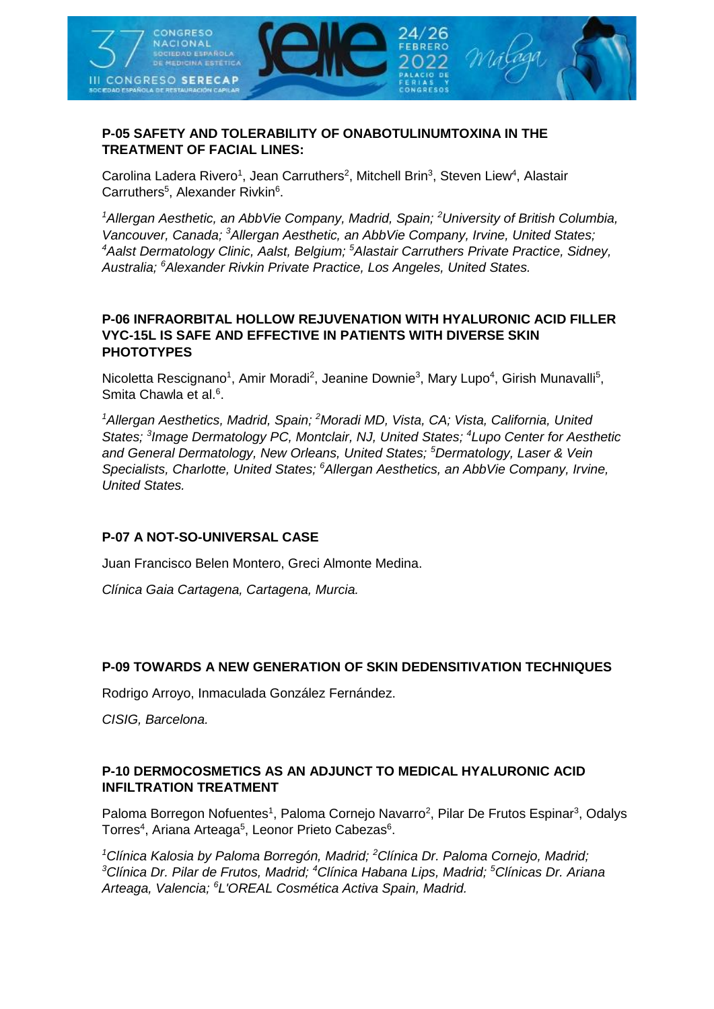

#### **P-05 SAFETY AND TOLERABILITY OF ONABOTULINUMTOXINA IN THE TREATMENT OF FACIAL LINES:**

Carolina Ladera Rivero<sup>1</sup>, Jean Carruthers<sup>2</sup>, Mitchell Brin<sup>3</sup>, Steven Liew<sup>4</sup>, Alastair Carruthers<sup>5</sup>, Alexander Rivkin<sup>6</sup>.

*<sup>1</sup>Allergan Aesthetic, an AbbVie Company, Madrid, Spain; <sup>2</sup>University of British Columbia, Vancouver, Canada; <sup>3</sup>Allergan Aesthetic, an AbbVie Company, Irvine, United States; <sup>4</sup>Aalst Dermatology Clinic, Aalst, Belgium; <sup>5</sup>Alastair Carruthers Private Practice, Sidney, Australia; <sup>6</sup>Alexander Rivkin Private Practice, Los Angeles, United States.*

#### **P-06 INFRAORBITAL HOLLOW REJUVENATION WITH HYALURONIC ACID FILLER VYC-15L IS SAFE AND EFFECTIVE IN PATIENTS WITH DIVERSE SKIN PHOTOTYPES**

Nicoletta Rescignano<sup>1</sup>, Amir Moradi<sup>2</sup>, Jeanine Downie<sup>3</sup>, Mary Lupo<sup>4</sup>, Girish Munavalli<sup>5</sup>, Smita Chawla et al.<sup>6</sup>.

*<sup>1</sup>Allergan Aesthetics, Madrid, Spain; <sup>2</sup>Moradi MD, Vista, CA; Vista, California, United States; <sup>3</sup> Image Dermatology PC, Montclair, NJ, United States; <sup>4</sup>Lupo Center for Aesthetic and General Dermatology, New Orleans, United States; <sup>5</sup>Dermatology, Laser & Vein Specialists, Charlotte, United States; <sup>6</sup>Allergan Aesthetics, an AbbVie Company, Irvine, United States.*

### **P-07 A NOT-SO-UNIVERSAL CASE**

Juan Francisco Belen Montero, Greci Almonte Medina.

*Clínica Gaia Cartagena, Cartagena, Murcia.*

### **P-09 TOWARDS A NEW GENERATION OF SKIN DEDENSITIVATION TECHNIQUES**

Rodrigo Arroyo, Inmaculada González Fernández.

*CISIG, Barcelona.*

### **P-10 DERMOCOSMETICS AS AN ADJUNCT TO MEDICAL HYALURONIC ACID INFILTRATION TREATMENT**

Paloma Borregon Nofuentes<sup>1</sup>, Paloma Cornejo Navarro<sup>2</sup>, Pilar De Frutos Espinar<sup>3</sup>, Odalys Torres<sup>4</sup>, Ariana Arteaga<sup>5</sup>, Leonor Prieto Cabezas<sup>6</sup>.

*<sup>1</sup>Clínica Kalosia by Paloma Borregón, Madrid; <sup>2</sup>Clínica Dr. Paloma Cornejo, Madrid; <sup>3</sup>Clínica Dr. Pilar de Frutos, Madrid; <sup>4</sup>Clínica Habana Lips, Madrid; <sup>5</sup>Clínicas Dr. Ariana Arteaga, Valencia; <sup>6</sup>L'OREAL Cosmética Activa Spain, Madrid.*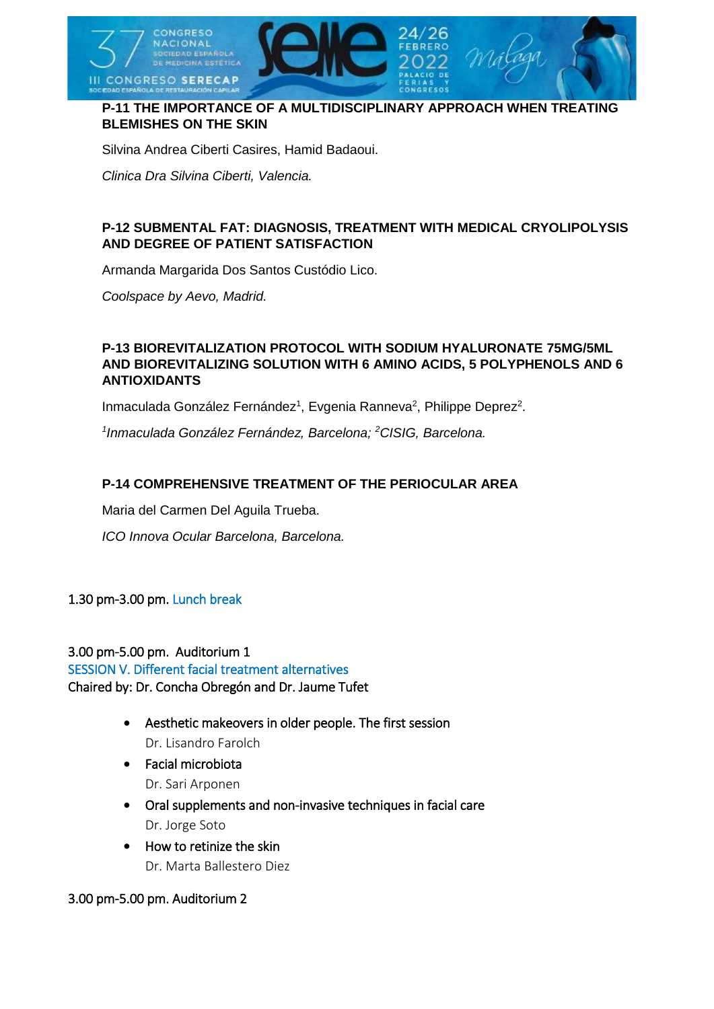

### **P-11 THE IMPORTANCE OF A MULTIDISCIPLINARY APPROACH WHEN TREATING BLEMISHES ON THE SKIN**

Silvina Andrea Ciberti Casires, Hamid Badaoui.

*Clinica Dra Silvina Ciberti, Valencia.*

### **P-12 SUBMENTAL FAT: DIAGNOSIS, TREATMENT WITH MEDICAL CRYOLIPOLYSIS AND DEGREE OF PATIENT SATISFACTION**

Armanda Margarida Dos Santos Custódio Lico.

*Coolspace by Aevo, Madrid.*

#### **P-13 BIOREVITALIZATION PROTOCOL WITH SODIUM HYALURONATE 75MG/5ML AND BIOREVITALIZING SOLUTION WITH 6 AMINO ACIDS, 5 POLYPHENOLS AND 6 ANTIOXIDANTS**

Inmaculada González Fernández<sup>1</sup>, Evgenia Ranneva<sup>2</sup>, Philippe Deprez<sup>2</sup>.

*1 Inmaculada González Fernández, Barcelona; <sup>2</sup>CISIG, Barcelona.*

#### **P-14 COMPREHENSIVE TREATMENT OF THE PERIOCULAR AREA**

Maria del Carmen Del Aguila Trueba.

*ICO Innova Ocular Barcelona, Barcelona.*

#### 1.30 pm-3.00 pm. Lunch break

3.00 pm-5.00 pm. Auditorium 1 SESSION V. Different facial treatment alternatives Chaired by: Dr. Concha Obregón and Dr. Jaume Tufet

- Aesthetic makeovers in older people. The first session Dr. Lisandro Farolch
- Facial microbiota Dr. Sari Arponen
- Oral supplements and non-invasive techniques in facial care Dr. Jorge Soto
- How to retinize the skin Dr. Marta Ballestero Diez

3.00 pm-5.00 pm. Auditorium 2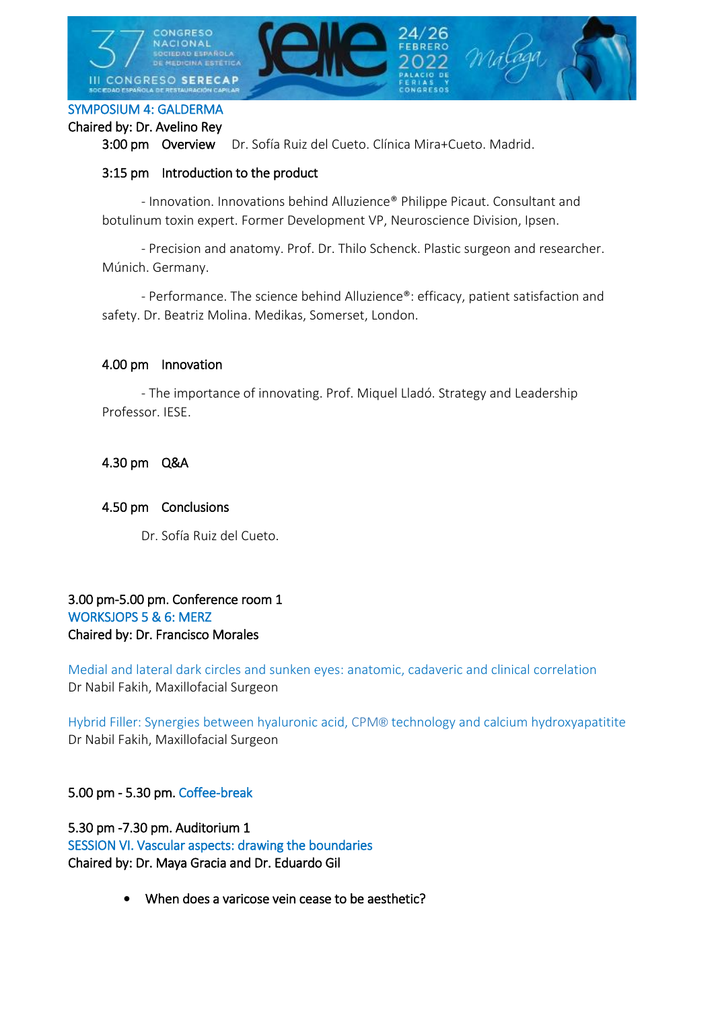

#### SYMPOSIUM 4: GALDERMA

#### Chaired by: Dr. Avelino Rey

3:00 pm Overview Dr. Sofía Ruiz del Cueto. Clínica Mira+Cueto. Madrid.

#### 3:15 pm Introduction to the product

 - Innovation. Innovations behind Alluzience® Philippe Picaut. Consultant and botulinum toxin expert. Former Development VP, Neuroscience Division, Ipsen.

 - Precision and anatomy. Prof. Dr. Thilo Schenck. Plastic surgeon and researcher. Múnich. Germany.

 - Performance. The science behind Alluzience®: efficacy, patient satisfaction and safety. Dr. Beatriz Molina. Medikas, Somerset, London.

#### 4.00 pm Innovation

 - The importance of innovating. Prof. Miquel Lladó. Strategy and Leadership Professor. IESE.

4.30 pm Q&A

#### 4.50 pm Conclusions

Dr. Sofía Ruiz del Cueto.

### 3.00 pm-5.00 pm. Conference room 1 WORKSJOPS 5 & 6: MERZ Chaired by: Dr. Francisco Morales

Medial and lateral dark circles and sunken eyes: anatomic, cadaveric and clinical correlation Dr Nabil Fakih, Maxillofacial Surgeon

Hybrid Filler: Synergies between hyaluronic acid, CPM® technology and calcium hydroxyapatitite Dr Nabil Fakih, Maxillofacial Surgeon

### 5.00 pm - 5.30 pm. Coffee-break

5.30 pm -7.30 pm. Auditorium 1 SESSION VI. Vascular aspects: drawing the boundaries Chaired by: Dr. Maya Gracia and Dr. Eduardo Gil

• When does a varicose vein cease to be aesthetic?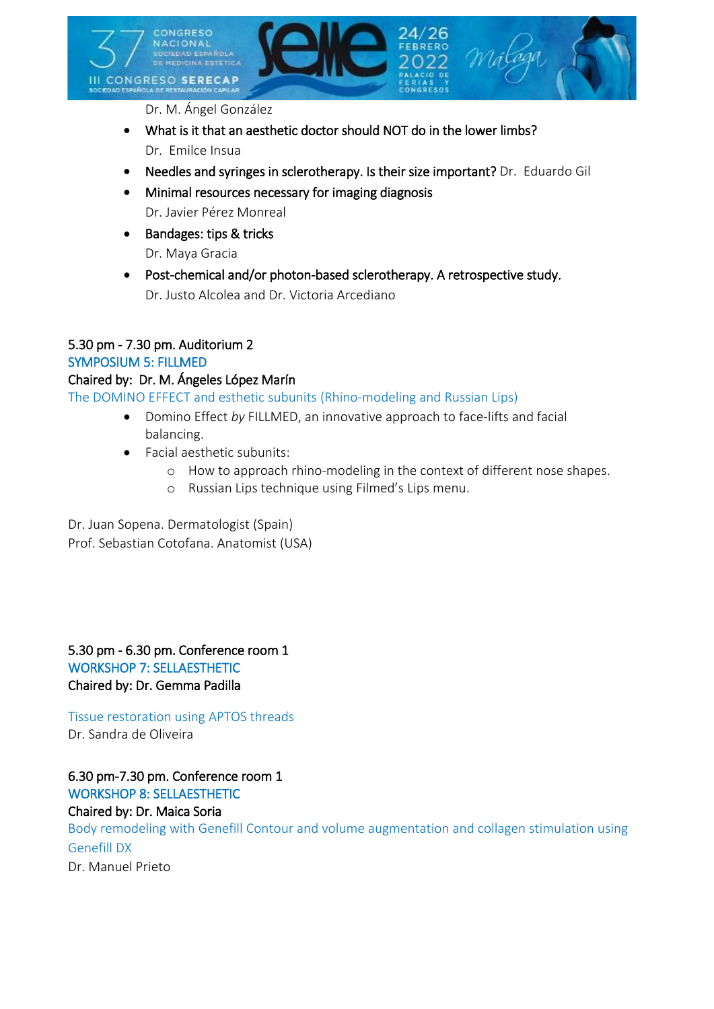

Dr. M. Ángel González

- What is it that an aesthetic doctor should NOT do in the lower limbs? Dr. Emilce Insua
- Needles and syringes in sclerotherapy. Is their size important? Dr. Eduardo Gil
- Minimal resources necessary for imaging diagnosis Dr. Javier Pérez Monreal
- Bandages: tips & tricks Dr. Maya Gracia
- Post-chemical and/or photon-based sclerotherapy. A retrospective study. Dr. Justo Alcolea and Dr. Victoria Arcediano

### 5.30 pm - 7.30 pm. Auditorium 2

#### SYMPOSIUM 5: FILLMED

#### Chaired by: Dr. M. Ángeles López Marín

The DOMINO EFFECT and esthetic subunits (Rhino-modeling and Russian Lips)

- Domino Effect *by* FILLMED, an innovative approach to face-lifts and facial balancing.
- Facial aesthetic subunits:
	- o How to approach rhino-modeling in the context of different nose shapes.
	- o Russian Lips technique using Filmed's Lips menu.

Dr. Juan Sopena. Dermatologist (Spain) Prof. Sebastian Cotofana. Anatomist (USA)

5.30 pm - 6.30 pm. Conference room 1 WORKSHOP 7: SELLAESTHETIC Chaired by: Dr. Gemma Padilla

Tissue restoration using APTOS threads Dr. Sandra de Oliveira

6.30 pm-7.30 pm. Conference room 1 WORKSHOP 8: SELLAESTHETIC Chaired by: Dr. Maica Soria Body remodeling with Genefill Contour and volume augmentation and collagen stimulation using Genefill DX Dr. Manuel Prieto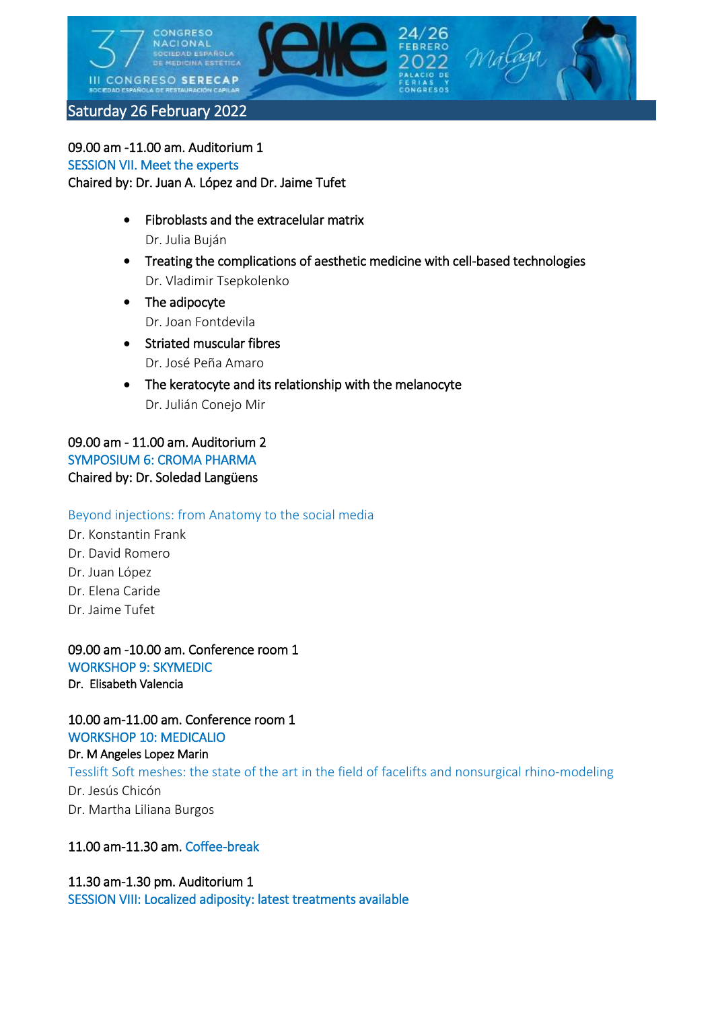

09.00 am -11.00 am. Auditorium 1 SESSION VII. Meet the experts Chaired by: Dr. Juan A. López and Dr. Jaime Tufet

- Fibroblasts and the extracelular matrix Dr. Julia Buján
- Treating the complications of aesthetic medicine with cell-based technologies Dr. Vladimir Tsepkolenko
- The adipocyte Dr. Joan Fontdevila
- Striated muscular fibres Dr. José Peña Amaro
- The keratocyte and its relationship with the melanocyte Dr. Julián Conejo Mir

09.00 am - 11.00 am. Auditorium 2 SYMPOSIUM 6: CROMA PHARMA Chaired by: Dr. Soledad Langüens

Beyond injections: from Anatomy to the social media

Dr. Konstantin Frank Dr. David Romero Dr. Juan López Dr. Elena Caride Dr. Jaime Tufet

09.00 am -10.00 am. Conference room 1 WORKSHOP 9: SKYMEDIC Dr. Elisabeth Valencia

10.00 am-11.00 am. Conference room 1 WORKSHOP 10: MEDICALIO

Dr. M Angeles Lopez Marin Tesslift Soft meshes: the state of the art in the field of facelifts and nonsurgical rhino-modeling Dr. Jesús Chicón Dr. Martha Liliana Burgos

# 11.00 am-11.30 am. Coffee-break

# 11.30 am-1.30 pm. Auditorium 1 SESSION VIII: Localized adiposity: latest treatments available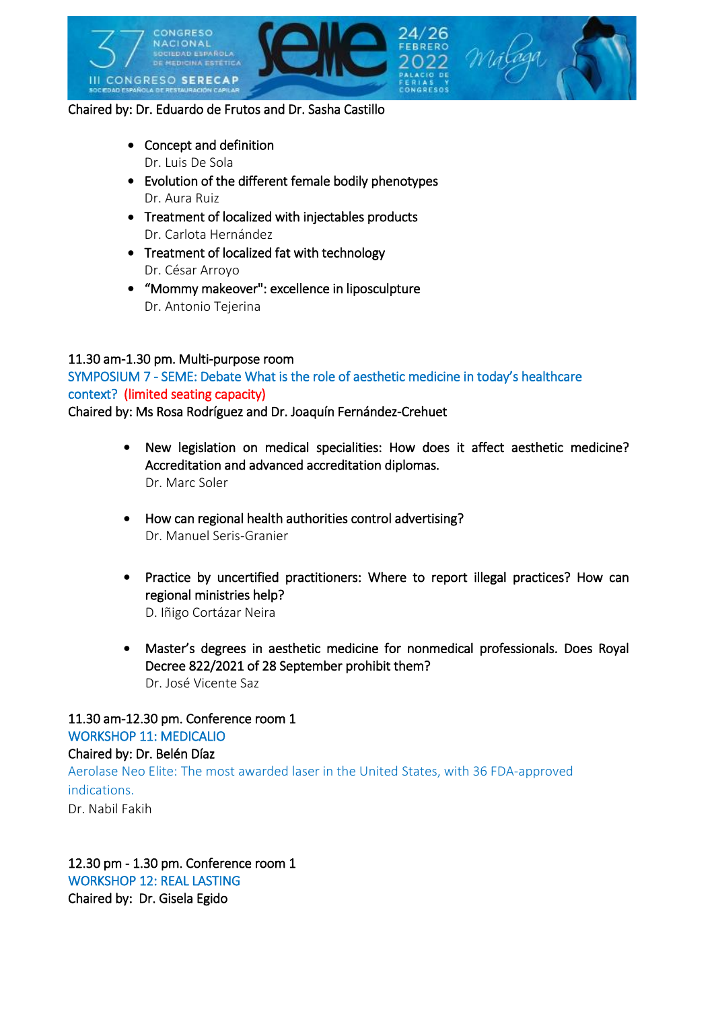

### Chaired by: Dr. Eduardo de Frutos and Dr. Sasha Castillo

- Concept and definition Dr. Luis De Sola
- Evolution of the different female bodily phenotypes Dr. Aura Ruiz
- Treatment of localized with injectables products Dr. Carlota Hernández
- Treatment of localized fat with technology Dr. César Arroyo
- "Mommy makeover": excellence in liposculpture Dr. Antonio Tejerina

#### 11.30 am-1.30 pm. Multi-purpose room

SYMPOSIUM 7 - SEME: Debate What is the role of aesthetic medicine in today's healthcare context? (limited seating capacity)

Chaired by: Ms Rosa Rodríguez and Dr. Joaquín Fernández-Crehuet

- New legislation on medical specialities: How does it affect aesthetic medicine? Accreditation and advanced accreditation diplomas. Dr. Marc Soler
- How can regional health authorities control advertising? Dr. Manuel Seris-Granier
- Practice by uncertified practitioners: Where to report illegal practices? How can regional ministries help? D. Iñigo Cortázar Neira
- Master's degrees in aesthetic medicine for nonmedical professionals. Does Royal Decree 822/2021 of 28 September prohibit them? Dr. José Vicente Saz

# 11.30 am-12.30 pm. Conference room 1 WORKSHOP 11: MEDICALIO

# Chaired by: Dr. Belén Díaz Aerolase Neo Elite: The most awarded laser in the United States, with 36 FDA-approved indications. Dr. Nabil Fakih

12.30 pm - 1.30 pm. Conference room 1 WORKSHOP 12: REAL LASTING Chaired by: Dr. Gisela Egido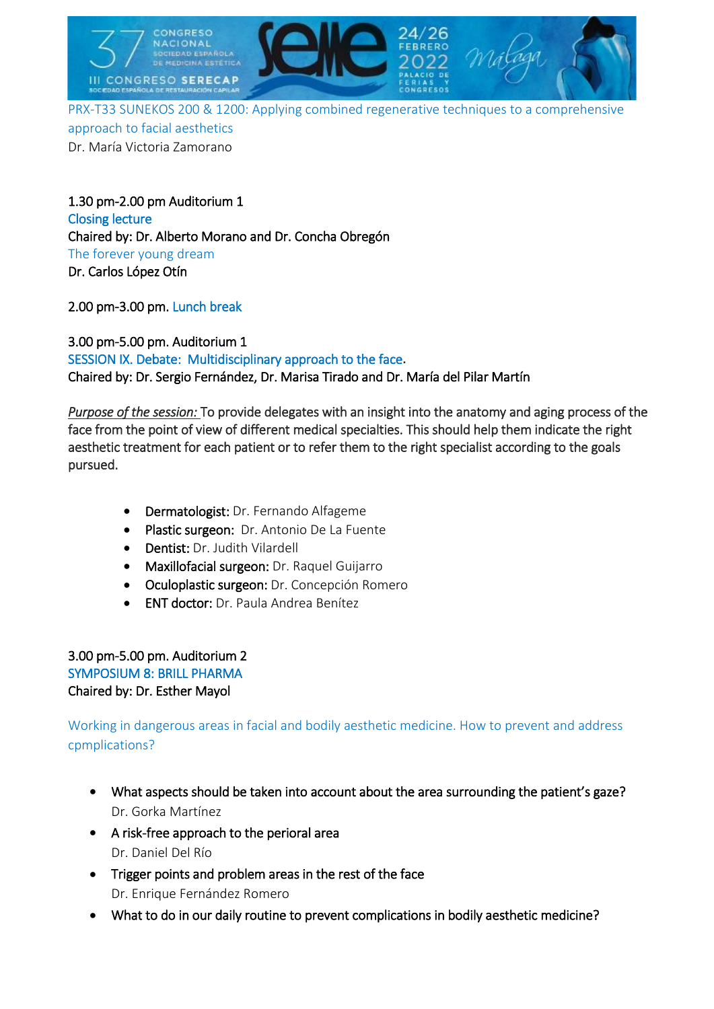

PRX-T33 SUNEKOS 200 & 1200: Applying combined regenerative techniques to a comprehensive approach to facial aesthetics Dr. María Victoria Zamorano

1.30 pm-2.00 pm Auditorium 1 Closing lecture Chaired by: Dr. Alberto Morano and Dr. Concha Obregón The forever young dream Dr. Carlos López Otín

2.00 pm-3.00 pm. Lunch break

3.00 pm-5.00 pm. Auditorium 1 SESSION IX. Debate: Multidisciplinary approach to the face**.** Chaired by: Dr. Sergio Fernández, Dr. Marisa Tirado and Dr. María del Pilar Martín

*Purpose of the session:* To provide delegates with an insight into the anatomy and aging process of the face from the point of view of different medical specialties. This should help them indicate the right aesthetic treatment for each patient or to refer them to the right specialist according to the goals pursued.

- Dermatologist: Dr. Fernando Alfageme
- Plastic surgeon: Dr. Antonio De La Fuente
- Dentist: Dr. Judith Vilardell
- Maxillofacial surgeon: Dr. Raquel Guijarro
- Oculoplastic surgeon: Dr. Concepción Romero
- ENT doctor: Dr. Paula Andrea Benítez

3.00 pm-5.00 pm. Auditorium 2 SYMPOSIUM 8: BRILL PHARMA Chaired by: Dr. Esther Mayol

Working in dangerous areas in facial and bodily aesthetic medicine. How to prevent and address cpmplications?

- What aspects should be taken into account about the area surrounding the patient's gaze? Dr. Gorka Martínez
- A risk-free approach to the perioral area Dr. Daniel Del Río
- Trigger points and problem areas in the rest of the face Dr. Enrique Fernández Romero
- What to do in our daily routine to prevent complications in bodily aesthetic medicine?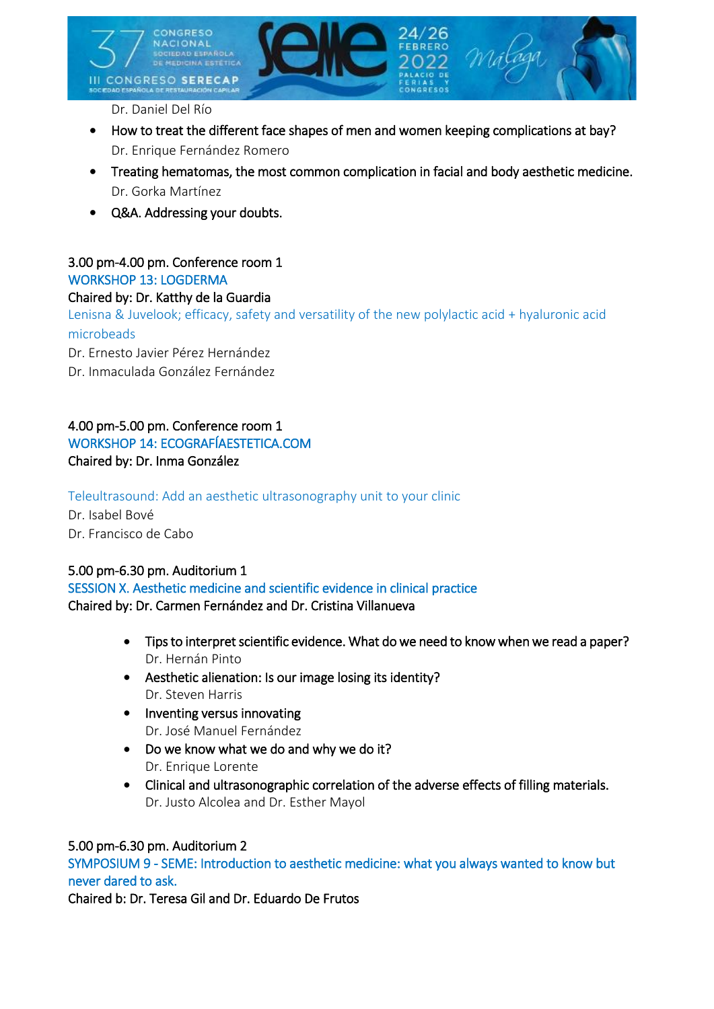

Dr. Daniel Del Río

- How to treat the different face shapes of men and women keeping complications at bay? Dr. Enrique Fernández Romero
- Treating hematomas, the most common complication in facial and body aesthetic medicine. Dr. Gorka Martínez
- Q&A. Addressing your doubts.

#### 3.00 pm-4.00 pm. Conference room 1 WORKSHOP 13: LOGDERMA

### Chaired by: Dr. Katthy de la Guardia

Lenisna & Juvelook; efficacy, safety and versatility of the new polylactic acid + hyaluronic acid microbeads

Dr. Ernesto Javier Pérez Hernández

Dr. Inmaculada González Fernández

### 4.00 pm-5.00 pm. Conference room 1 WORKSHOP 14: ECOGRAFÍAESTETICA.COM Chaired by: Dr. Inma González

Teleultrasound: Add an aesthetic ultrasonography unit to your clinic

Dr. Isabel Bové Dr. Francisco de Cabo

### 5.00 pm-6.30 pm. Auditorium 1

SESSION X. Aesthetic medicine and scientific evidence in clinical practice Chaired by: Dr. Carmen Fernández and Dr. Cristina Villanueva

- Tips to interpret scientific evidence. What do we need to know when we read a paper? Dr. Hernán Pinto
- Aesthetic alienation: Is our image losing its identity? Dr. Steven Harris
- Inventing versus innovating Dr. José Manuel Fernández
- Do we know what we do and why we do it? Dr. Enrique Lorente
- Clinical and ultrasonographic correlation of the adverse effects of filling materials. Dr. Justo Alcolea and Dr. Esther Mayol

### 5.00 pm-6.30 pm. Auditorium 2

SYMPOSIUM 9 - SEME: Introduction to aesthetic medicine: what you always wanted to know but never dared to ask.

Chaired b: Dr. Teresa Gil and Dr. Eduardo De Frutos